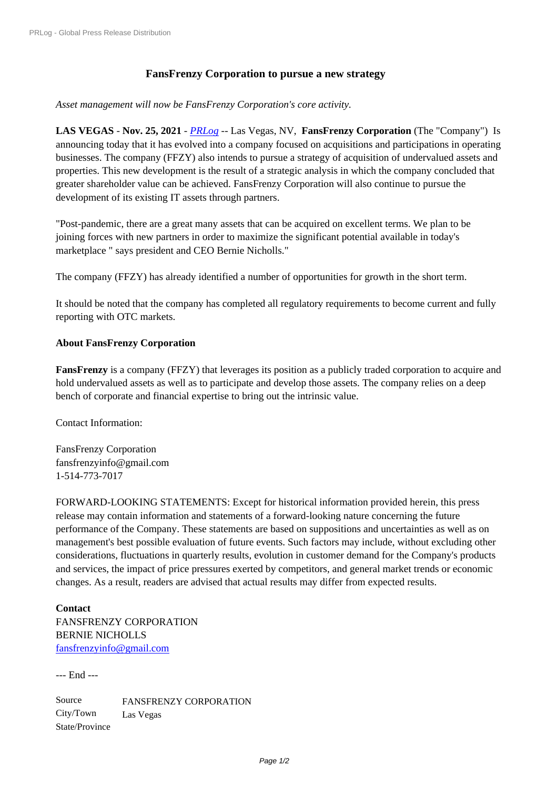## **FansFrenzy Corporation to pursue a new strategy**

*Asset management will now be FansFrenzy Corporation's core activity.*

**LAS VEGAS** - **Nov. 25, 2021** - *PRLog* -- Las Vegas, NV, **FansFrenzy Corporation** (The "Company") Is announcing today that it has evolved into a company focused on acquisitions and participations in operating businesses. The company (FFZY) also intends to pursue a strategy of acquisition of undervalued assets and properties. This new development is the result of a strategic analysis in which the company concluded that greater shareholder value can be achieved. FansFrenzy Corporation will also continue to pursue the development of its existing IT assets through partners.

"Post-pandemic, there are a great many assets that can be acquired on excellent terms. We plan to be joining forces with new partners in order to maximize the significant potential available in today's marketplace " says president and CEO Bernie Nicholls."

The company (FFZY) has already identified a number of opportunities for growth in the short term.

It should be noted that the company has completed all regulatory requirements to become current and fully reporting with OTC markets.

## **About FansFrenzy Corporation**

**FansFrenzy** is a company (FFZY) that leverages its position as a publicly traded corporation to acquire and hold undervalued assets as well as to participate and develop those assets. The company relies on a deep bench of corporate and financial expertise to bring out the intrinsic value.

Contact Information:

FansFrenzy Corporation fansfrenzyinfo@gmail.com 1-514-773-7017

FORWARD-LOOKING STATEMENTS: Except for historical information provided herein, this press release may contain information and statements of a forward-looking nature concerning the future performance of the Company. These statements are based on suppositions and uncertainties as well as on management's best possible evaluation of future events. Such factors may include, without excluding other considerations, fluctuations in quarterly results, evolution in customer demand for the Company's products and services, the impact of price pressures exerted by competitors, and general market trends or economic changes. As a result, readers are advised that actual results may differ from expected results.

**Contact** FANSFRENZY CORPORATION BERNIE NICHOLLS fansfrenzyinfo@gmail.com

--- End ---

Source FANSFRENZY CORPORATION City/Town Las Vegas State/Province